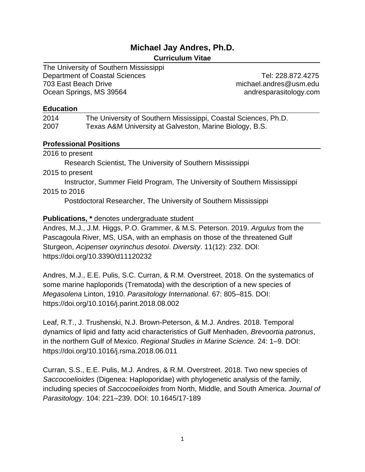# **Michael Jay Andres, Ph.D.**

# **Curriculum Vitae**

The University of Southern Mississippi Department of Coastal Sciences Tel: 228.872.4275 703 East Beach Drive michael.andres@usm.edu Ocean Springs, MS 39564 andresparasitology.com

### **Education**

| 2014 | The University of Southern Mississippi, Coastal Sciences, Ph.D. |
|------|-----------------------------------------------------------------|
| 2007 | Texas A&M University at Galveston, Marine Biology, B.S.         |

# **Professional Positions**

2016 to present

Research Scientist, The University of Southern Mississippi

2015 to present

Instructor, Summer Field Program, The University of Southern Mississippi 2015 to 2016

Postdoctoral Researcher, The University of Southern Mississippi

# **Publications, \*** denotes undergraduate student

Andres, M.J., J.M. Higgs, P.O. Grammer, & M.S. Peterson. 2019. *Argulus* from the Pascagoula River, MS, USA, with an emphasis on those of the threatened Gulf Sturgeon, *Acipenser oxyrinchus desotoi*. *Diversity*. 11(12): 232. DOI: https://doi.org/10.3390/d11120232

Andres, M.J., E.E. Pulis, S.C. Curran, & R.M. Overstreet. 2018. On the systematics of some marine haploporids (Trematoda) with the description of a new species of *Megasolena* Linton, 1910. *Parasitology International*. 67: 805–815. DOI: https://doi.org/10.1016/j.parint.2018.08.002

Leaf, R.T., J. Trushenski, N.J. Brown-Peterson, & M.J. Andres. 2018. Temporal dynamics of lipid and fatty acid characteristics of Gulf Menhaden, *Brevoortia patronus*, in the northern Gulf of Mexico. *Regional Studies in Marine Science.* 24: 1–9. DOI: https://doi.org/10.1016/j.rsma.2018.06.011

Curran, S.S., E.E. Pulis, M.J. Andres, & R.M. Overstreet. 2018. Two new species of *Saccocoelioides* (Digenea: Haploporidae) with phylogenetic analysis of the family, including species of *Saccocoelioides* from North, Middle, and South America. *Journal of Parasitology*. 104: 221–239. DOI: 10.1645/17-189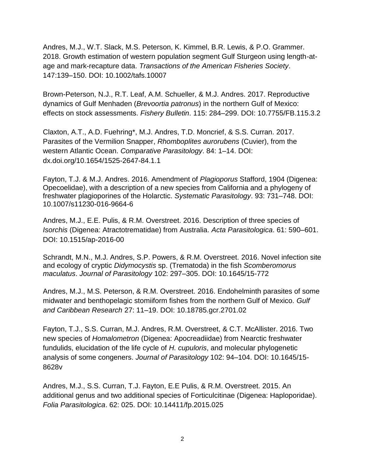Andres, M.J., W.T. Slack, M.S. Peterson, K. Kimmel, B.R. Lewis, & P.O. Grammer. 2018. Growth estimation of western population segment Gulf Sturgeon using length-atage and mark-recapture data. *Transactions of the American Fisheries Society*. 147:139–150. DOI: 10.1002/tafs.10007

Brown-Peterson, N.J., R.T. Leaf, A.M. Schueller, & M.J. Andres. 2017. Reproductive dynamics of Gulf Menhaden (*Brevoortia patronus*) in the northern Gulf of Mexico: effects on stock assessments. *Fishery Bulletin*. 115: 284–299. DOI: 10.7755/FB.115.3.2

Claxton, A.T., A.D. Fuehring\*, M.J. Andres, T.D. Moncrief, & S.S. Curran. 2017. Parasites of the Vermilion Snapper, *Rhomboplites aurorubens* (Cuvier), from the western Atlantic Ocean. *Comparative Parasitology*. 84: 1–14. DOI: dx.doi.org/10.1654/1525-2647-84.1.1

Fayton, T.J. & M.J. Andres. 2016. Amendment of *Plagioporus* Stafford, 1904 (Digenea: Opecoelidae), with a description of a new species from California and a phylogeny of freshwater plagioporines of the Holarctic. *Systematic Parasitology*. 93: 731–748. DOI: 10.1007/s11230-016-9664-6

Andres, M.J., E.E. Pulis, & R.M. Overstreet. 2016. Description of three species of *Isorchis* (Digenea: Atractotrematidae) from Australia. *Acta Parasitologica*. 61: 590–601. DOI: 10.1515/ap-2016-00

Schrandt, M.N., M.J. Andres, S.P. Powers, & R.M. Overstreet. 2016. Novel infection site and ecology of cryptic *Didymocystis* sp. (Trematoda) in the fish *Scomberomorus maculatus*. *Journal of Parasitology* 102: 297–305. DOI: 10.1645/15-772

Andres, M.J., M.S. Peterson, & R.M. Overstreet. 2016. Endohelminth parasites of some midwater and benthopelagic stomiiform fishes from the northern Gulf of Mexico. *Gulf and Caribbean Research* 27: 11–19. DOI: 10.18785.gcr.2701.02

Fayton, T.J., S.S. Curran, M.J. Andres, R.M. Overstreet, & C.T. McAllister. 2016. Two new species of *Homalometron* (Digenea: Apocreadiidae) from Nearctic freshwater fundulids, elucidation of the life cycle of *H. cupuloris*, and molecular phylogenetic analysis of some congeners. *Journal of Parasitology* 102: 94–104. DOI: 10.1645/15- 8628v

Andres, M.J., S.S. Curran, T.J. Fayton, E.E Pulis, & R.M. Overstreet. 2015. An additional genus and two additional species of Forticulcitinae (Digenea: Haploporidae). *Folia Parasitologica*. 62: 025. DOI: 10.14411/fp.2015.025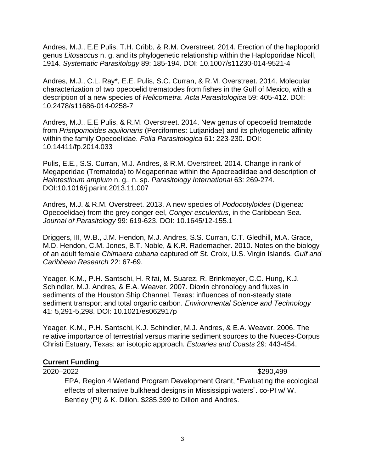Andres, M.J., E.E Pulis, T.H. Cribb, & R.M. Overstreet. 2014. Erection of the haploporid genus *Litosaccus* n. g. and its phylogenetic relationship within the Haploporidae Nicoll, 1914. *Systematic Parasitology* 89: 185-194. DOI: 10.1007/s11230-014-9521-4

Andres, M.J., C.L. Ray\*, E.E. Pulis, S.C. Curran, & R.M. Overstreet. 2014. Molecular characterization of two opecoelid trematodes from fishes in the Gulf of Mexico, with a description of a new species of *Helicometra*. *Acta Parasitologica* 59: 405-412. DOI: 10.2478/s11686-014-0258-7

Andres, M.J., E.E Pulis, & R.M. Overstreet. 2014. New genus of opecoelid trematode from *Pristipomoides aquilonaris* (Perciformes: Lutjanidae) and its phylogenetic affinity within the family Opecoelidae. *Folia Parasitologica* 61: 223-230. DOI: 10.14411/fp.2014.033

Pulis, E.E., S.S. Curran, M.J. Andres, & R.M. Overstreet. 2014. Change in rank of Megaperidae (Trematoda) to Megaperinae within the Apocreadiidae and description of *Haintestinum amplum* n. g., n. sp. *Parasitology International* 63: 269-274. DOI:10.1016/j.parint.2013.11.007

Andres, M.J. & R.M. Overstreet. 2013. A new species of *Podocotyloides* (Digenea: Opecoelidae) from the grey conger eel, *Conger esculentus*, in the Caribbean Sea. *Journal of Parasitology* 99: 619-623. DOI: 10.1645/12-155.1

Driggers, III, W.B., J.M. Hendon, M.J. Andres, S.S. Curran, C.T. Gledhill, M.A. Grace, M.D. Hendon, C.M. Jones, B.T. Noble, & K.R. Rademacher. 2010. Notes on the biology of an adult female *Chimaera cubana* captured off St. Croix, U.S. Virgin Islands*. Gulf and Caribbean Research* 22: 67-69.

Yeager, K.M., P.H. Santschi, H. Rifai, M. Suarez, R. Brinkmeyer, C.C. Hung, K.J. Schindler, M.J. Andres, & E.A. Weaver. 2007. Dioxin chronology and fluxes in sediments of the Houston Ship Channel, Texas: influences of non-steady state sediment transport and total organic carbon. *Environmental Science and Technology*  41: 5,291-5,298. DOI: 10.1021/es062917p

Yeager, K.M., P.H. Santschi, K.J. Schindler, M.J. Andres, & E.A. Weaver. 2006. The relative importance of terrestrial versus marine sediment sources to the Nueces-Corpus Christi Estuary, Texas: an isotopic approach. *Estuaries and Coasts* 29: 443-454.

## **Current Funding**

2020–2022 \$290,499 EPA, Region 4 Wetland Program Development Grant, "Evaluating the ecological effects of alternative bulkhead designs in Mississippi waters". co-PI w/ W. Bentley (PI) & K. Dillon. \$285,399 to Dillon and Andres.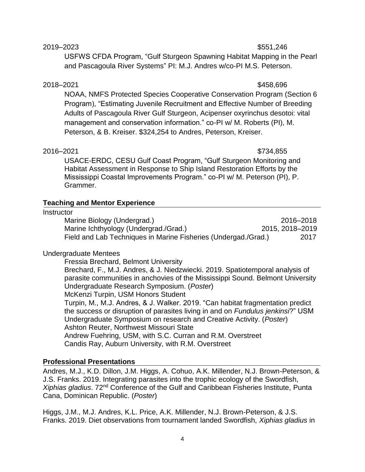### 2019–2023 \$551,246

USFWS CFDA Program, "Gulf Sturgeon Spawning Habitat Mapping in the Pearl and Pascagoula River Systems" PI: M.J. Andres w/co-PI M.S. Peterson.

# 2018–2021 \$458,696

NOAA, NMFS Protected Species Cooperative Conservation Program (Section 6 Program), "Estimating Juvenile Recruitment and Effective Number of Breeding Adults of Pascagoula River Gulf Sturgeon, Acipenser oxyrinchus desotoi: vital management and conservation information." co-PI w/ M. Roberts (PI), M. Peterson, & B. Kreiser. \$324,254 to Andres, Peterson, Kreiser.

### 2016–2021 \$734,855

USACE-ERDC, CESU Gulf Coast Program, "Gulf Sturgeon Monitoring and Habitat Assessment in Response to Ship Island Restoration Efforts by the Mississippi Coastal Improvements Program." co-PI w/ M. Peterson (PI), P. Grammer.

# **Teaching and Mentor Experience**

### **Instructor**

| Marine Biology (Undergrad.)                                    | 2016-2018       |
|----------------------------------------------------------------|-----------------|
| Marine Ichthyology (Undergrad./Grad.)                          | 2015, 2018-2019 |
| Field and Lab Techniques in Marine Fisheries (Undergad./Grad.) | 2017            |

## Undergraduate Mentees

Fressia Brechard, Belmont University Brechard, F., M.J. Andres, & J. Niedzwiecki. 2019. Spatiotemporal analysis of parasite communities in anchovies of the Mississippi Sound. Belmont University Undergraduate Research Symposium. (*Poster*) McKenzi Turpin, USM Honors Student Turpin, M., M.J. Andres, & J. Walker. 2019. "Can habitat fragmentation predict the success or disruption of parasites living in and on *Fundulus jenkinsi*?" USM Undergraduate Symposium on research and Creative Activity. (*Poster*) Ashton Reuter, Northwest Missouri State Andrew Fuehring, USM, with S.C. Curran and R.M. Overstreet Candis Ray, Auburn University, with R.M. Overstreet

## **Professional Presentations**

Andres, M.J., K.D. Dillon, J.M. Higgs, A. Cohuo, A.K. Millender, N.J. Brown-Peterson, & J.S. Franks. 2019. Integrating parasites into the trophic ecology of the Swordfish, *Xiphias gladius*. 72nd Conference of the Gulf and Caribbean Fisheries Institute, Punta Cana, Dominican Republic. (*Poster*)

Higgs, J.M., M.J. Andres, K.L. Price, A.K. Millender, N.J. Brown-Peterson, & J.S. Franks. 2019. Diet observations from tournament landed Swordfish, *Xiphias gladius* in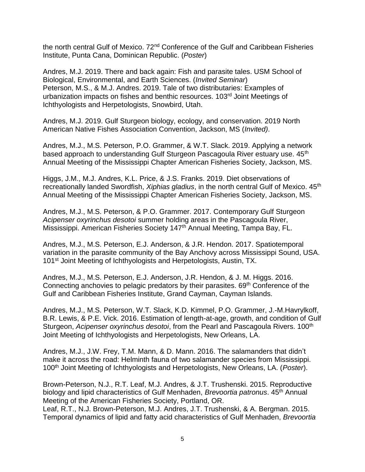the north central Gulf of Mexico. 72<sup>nd</sup> Conference of the Gulf and Caribbean Fisheries Institute, Punta Cana, Dominican Republic. (*Poster*)

Andres, M.J. 2019. There and back again: Fish and parasite tales. USM School of Biological, Environmental, and Earth Sciences. (*Invited Seminar*) Peterson, M.S., & M.J. Andres. 2019. Tale of two distributaries: Examples of urbanization impacts on fishes and benthic resources. 103<sup>rd</sup> Joint Meetings of Ichthyologists and Herpetologists, Snowbird, Utah.

Andres, M.J. 2019. Gulf Sturgeon biology, ecology, and conservation. 2019 North American Native Fishes Association Convention, Jackson, MS (*Invited)*.

Andres, M.J., M.S. Peterson, P.O. Grammer, & W.T. Slack. 2019. Applying a network based approach to understanding Gulf Sturgeon Pascagoula River estuary use. 45<sup>th</sup> Annual Meeting of the Mississippi Chapter American Fisheries Society, Jackson, MS.

Higgs, J.M., M.J. Andres, K.L. Price, & J.S. Franks. 2019. Diet observations of recreationally landed Swordfish, *Xiphias gladius*, in the north central Gulf of Mexico. 45<sup>th</sup> Annual Meeting of the Mississippi Chapter American Fisheries Society, Jackson, MS.

Andres, M.J., M.S. Peterson, & P.O. Grammer. 2017. Contemporary Gulf Sturgeon *Acipenser oxyrinchus desotoi* summer holding areas in the Pascagoula River, Mississippi. American Fisheries Society 147<sup>th</sup> Annual Meeting, Tampa Bay, FL.

Andres, M.J., M.S. Peterson, E.J. Anderson, & J.R. Hendon. 2017. Spatiotemporal variation in the parasite community of the Bay Anchovy across Mississippi Sound, USA. 101<sup>st</sup> Joint Meeting of Ichthyologists and Herpetologists, Austin, TX.

Andres, M.J., M.S. Peterson, E.J. Anderson, J.R. Hendon, & J. M. Higgs. 2016. Connecting anchovies to pelagic predators by their parasites.  $69<sup>th</sup>$  Conference of the Gulf and Caribbean Fisheries Institute, Grand Cayman, Cayman Islands.

Andres, M.J., M.S. Peterson, W.T. Slack, K.D. Kimmel, P.O. Grammer, J.-M.Havrylkoff, B.R. Lewis, & P.E. Vick. 2016. Estimation of length-at-age, growth, and condition of Gulf Sturgeon, *Acipenser oxyrinchus desotoi*, from the Pearl and Pascagoula Rivers. 100th Joint Meeting of Ichthyologists and Herpetologists, New Orleans, LA.

Andres, M.J., J.W. Frey, T.M. Mann, & D. Mann. 2016. The salamanders that didn't make it across the road: Helminth fauna of two salamander species from Mississippi. 100th Joint Meeting of Ichthyologists and Herpetologists, New Orleans, LA. (*Poster*).

Brown-Peterson, N.J., R.T. Leaf, M.J. Andres, & J.T. Trushenski. 2015. Reproductive biology and lipid characteristics of Gulf Menhaden, *Brevoortia patronus*. 45th Annual Meeting of the American Fisheries Society, Portland, OR.

Leaf, R.T., N.J. Brown-Peterson, M.J. Andres, J.T. Trushenski, & A. Bergman. 2015. Temporal dynamics of lipid and fatty acid characteristics of Gulf Menhaden, *Brevoortia*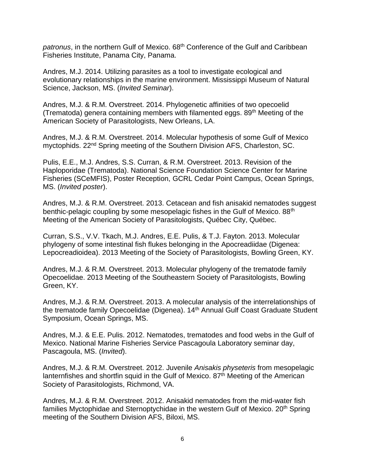patronus, in the northern Gulf of Mexico. 68<sup>th</sup> Conference of the Gulf and Caribbean Fisheries Institute, Panama City, Panama.

Andres, M.J. 2014. Utilizing parasites as a tool to investigate ecological and evolutionary relationships in the marine environment. Mississippi Museum of Natural Science, Jackson, MS. (*Invited Seminar*).

Andres, M.J. & R.M. Overstreet. 2014. Phylogenetic affinities of two opecoelid (Trematoda) genera containing members with filamented eggs. 89<sup>th</sup> Meeting of the American Society of Parasitologists, New Orleans, LA.

Andres, M.J. & R.M. Overstreet. 2014. Molecular hypothesis of some Gulf of Mexico myctophids. 22nd Spring meeting of the Southern Division AFS, Charleston, SC.

Pulis, E.E., M.J. Andres, S.S. Curran, & R.M. Overstreet. 2013. Revision of the Haploporidae (Trematoda). National Science Foundation Science Center for Marine Fisheries (SCeMFIS), Poster Reception, GCRL Cedar Point Campus, Ocean Springs, MS. (*Invited poster*).

Andres, M.J. & R.M. Overstreet. 2013. Cetacean and fish anisakid nematodes suggest benthic-pelagic coupling by some mesopelagic fishes in the Gulf of Mexico. 88<sup>th</sup> Meeting of the American Society of Parasitologists, Québec City, Québec.

Curran, S.S., V.V. Tkach, M.J. Andres, E.E. Pulis, & T.J. Fayton. 2013. Molecular phylogeny of some intestinal fish flukes belonging in the Apocreadiidae (Digenea: Lepocreadioidea). 2013 Meeting of the Society of Parasitologists, Bowling Green, KY.

Andres, M.J. & R.M. Overstreet. 2013. Molecular phylogeny of the trematode family Opecoelidae. 2013 Meeting of the Southeastern Society of Parasitologists, Bowling Green, KY.

Andres, M.J. & R.M. Overstreet. 2013. A molecular analysis of the interrelationships of the trematode family Opecoelidae (Digenea). 14<sup>th</sup> Annual Gulf Coast Graduate Student Symposium, Ocean Springs, MS.

Andres, M.J. & E.E. Pulis. 2012. Nematodes, trematodes and food webs in the Gulf of Mexico. National Marine Fisheries Service Pascagoula Laboratory seminar day, Pascagoula, MS. (*Invited*).

Andres, M.J. & R.M. Overstreet. 2012. Juvenile *Anisakis physeteris* from mesopelagic lanternfishes and shortfin squid in the Gulf of Mexico. 87<sup>th</sup> Meeting of the American Society of Parasitologists, Richmond, VA.

Andres, M.J. & R.M. Overstreet. 2012. Anisakid nematodes from the mid-water fish families Myctophidae and Sternoptychidae in the western Gulf of Mexico. 20<sup>th</sup> Spring meeting of the Southern Division AFS, Biloxi, MS.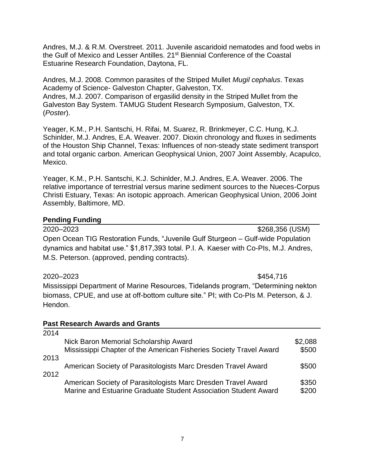Andres, M.J. & R.M. Overstreet. 2011. Juvenile ascaridoid nematodes and food webs in the Gulf of Mexico and Lesser Antilles. 21st Biennial Conference of the Coastal Estuarine Research Foundation, Daytona, FL.

Andres, M.J. 2008. Common parasites of the Striped Mullet *Mugil cephalus*. Texas Academy of Science- Galveston Chapter, Galveston, TX. Andres, M.J. 2007. Comparison of ergasilid density in the Striped Mullet from the Galveston Bay System. TAMUG Student Research Symposium, Galveston, TX. (*Poster*).

Yeager, K.M., P.H. Santschi, H. Rifai, M. Suarez, R. Brinkmeyer, C.C. Hung, K.J. Schinlder, M.J. Andres, E.A. Weaver. 2007. Dioxin chronology and fluxes in sediments of the Houston Ship Channel, Texas: Influences of non-steady state sediment transport and total organic carbon. American Geophysical Union, 2007 Joint Assembly, Acapulco, Mexico.

Yeager, K.M., P.H. Santschi, K.J. Schinlder, M.J. Andres, E.A. Weaver. 2006. The relative importance of terrestrial versus marine sediment sources to the Nueces-Corpus Christi Estuary, Texas: An isotopic approach. American Geophysical Union, 2006 Joint Assembly, Baltimore, MD.

# **Pending Funding**

2020–2023 \$268,356 (USM) Open Ocean TIG Restoration Funds, "Juvenile Gulf Sturgeon – Gulf-wide Population dynamics and habitat use." \$1,817,393 total. P.I. A. Kaeser with Co-PIs, M.J. Andres, M.S. Peterson. (approved, pending contracts).

2020–2023 \$454,716 Mississippi Department of Marine Resources, Tidelands program, "Determining nekton biomass, CPUE, and use at off-bottom culture site." PI; with Co-PIs M. Peterson, & J. Hendon.

## **Past Research Awards and Grants**

| 2014 |                                                                                                                                  |                |
|------|----------------------------------------------------------------------------------------------------------------------------------|----------------|
|      | Nick Baron Memorial Scholarship Award                                                                                            | \$2,088        |
|      | Mississippi Chapter of the American Fisheries Society Travel Award                                                               | \$500          |
| 2013 |                                                                                                                                  |                |
|      | American Society of Parasitologists Marc Dresden Travel Award                                                                    | \$500          |
| 2012 |                                                                                                                                  |                |
|      | American Society of Parasitologists Marc Dresden Travel Award<br>Marine and Estuarine Graduate Student Association Student Award | \$350<br>\$200 |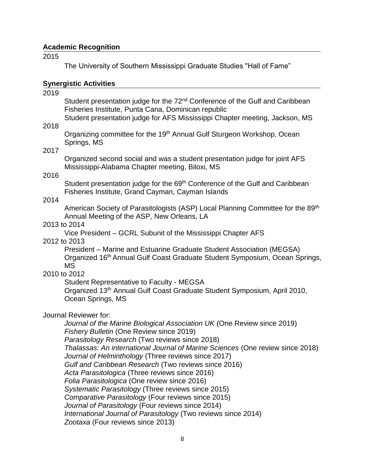### **Academic Recognition**

2015

The University of Southern Mississippi Graduate Studies "Hall of Fame"

### **Synergistic Activities**

2019

Student presentation judge for the 72<sup>nd</sup> Conference of the Gulf and Caribbean Fisheries Institute, Punta Cana, Dominican republic

Student presentation judge for AFS Mississippi Chapter meeting, Jackson, MS

Organizing committee for the 19<sup>th</sup> Annual Gulf Sturgeon Workshop, Ocean Springs, MS

## 2017

2018

Organized second social and was a student presentation judge for joint AFS Mississippi-Alabama Chapter meeting, Biloxi, MS

### 2016

Student presentation judge for the 69<sup>th</sup> Conference of the Gulf and Caribbean Fisheries Institute, Grand Cayman, Cayman Islands

### 2014

American Society of Parasitologists (ASP) Local Planning Committee for the 89th Annual Meeting of the ASP, New Orleans, LA

### 2013 to 2014

Vice President – GCRL Subunit of the Mississippi Chapter AFS

### 2012 to 2013

President – Marine and Estuarine Graduate Student Association (MEGSA) Organized 16th Annual Gulf Coast Graduate Student Symposium, Ocean Springs, MS

# 2010 to 2012

Student Representative to Faculty - MEGSA

Organized 13th Annual Gulf Coast Graduate Student Symposium, April 2010, Ocean Springs, MS

## Journal Reviewer for:

*Journal of the Marine Biological Association UK* (One Review since 2019) *Fishery Bulletin* (One Review since 2019) *Parasitology Research* (Two reviews since 2018) *Thalassas: An international Journal of Marine Sciences* (One review since 2018) *Journal of Helminthology* (Three reviews since 2017) *Gulf and Caribbean Research* (Two reviews since 2016) *Acta Parasitologica* (Three reviews since 2016) *Folia Parasitologica* (One review since 2016) *Systematic Parasitology* (Three reviews since 2015) *Comparative Parasitology* (Four reviews since 2015) *Journal of Parasitology* (Four reviews since 2014) *International Journal of Parasitology* (Two reviews since 2014) *Zootaxa* (Four reviews since 2013)